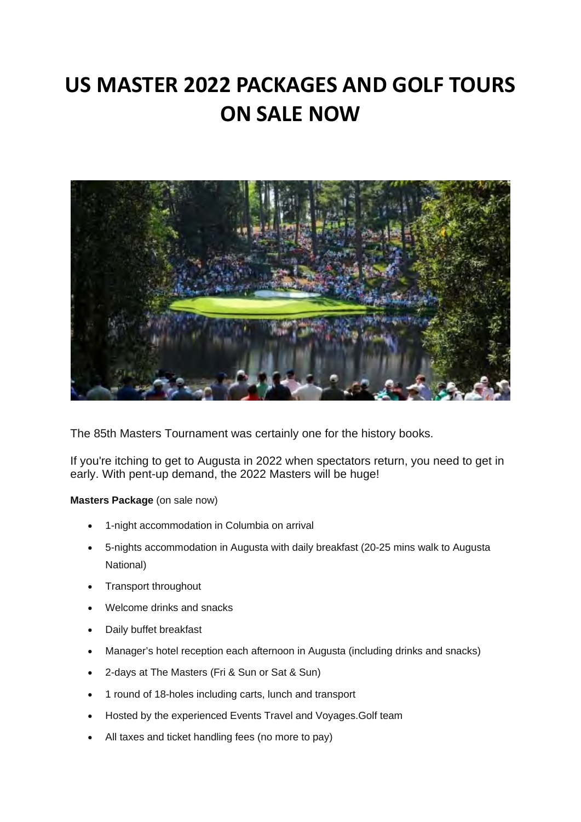## **US MASTER 2022 PACKAGES AND GOLF TOURS ON SALE NOW**



The 85th Masters Tournament was certainly one for the history books.

If you're itching to get to Augusta in 2022 when spectators return, you need to get in early. With pent-up demand, the 2022 Masters will be huge!

**Masters Package** (on sale now)

- 1-night accommodation in Columbia on arrival
- 5-nights accommodation in Augusta with daily breakfast (20-25 mins walk to Augusta National)
- Transport throughout
- Welcome drinks and snacks
- Daily buffet breakfast
- Manager's hotel reception each afternoon in Augusta (including drinks and snacks)
- 2-days at The Masters (Fri & Sun or Sat & Sun)
- 1 round of 18-holes including carts, lunch and transport
- Hosted by the experienced Events Travel and Voyages.Golf team
- All taxes and ticket handling fees (no more to pay)